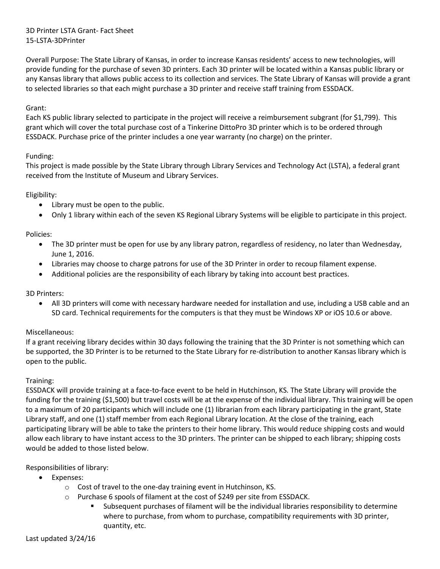# 3D Printer LSTA Grant- Fact Sheet 15-LSTA-3DPrinter

Overall Purpose: The State Library of Kansas, in order to increase Kansas residents' access to new technologies, will provide funding for the purchase of seven 3D printers. Each 3D printer will be located within a Kansas public library or any Kansas library that allows public access to its collection and services. The State Library of Kansas will provide a grant to selected libraries so that each might purchase a 3D printer and receive staff training from ESSDACK.

## Grant:

Each KS public library selected to participate in the project will receive a reimbursement subgrant (for \$1,799). This grant which will cover the total purchase cost of a Tinkerine DittoPro 3D printer which is to be ordered through ESSDACK. Purchase price of the printer includes a one year warranty (no charge) on the printer.

## Funding:

This project is made possible by the State Library through Library Services and Technology Act (LSTA), a federal grant received from the Institute of Museum and Library Services.

## Eligibility:

- Library must be open to the public.
- Only 1 library within each of the seven KS Regional Library Systems will be eligible to participate in this project.

## Policies:

- The 3D printer must be open for use by any library patron, regardless of residency, no later than Wednesday, June 1, 2016.
- Libraries may choose to charge patrons for use of the 3D Printer in order to recoup filament expense.
- Additional policies are the responsibility of each library by taking into account best practices.

## 3D Printers:

 All 3D printers will come with necessary hardware needed for installation and use, including a USB cable and an SD card. Technical requirements for the computers is that they must be Windows XP or iOS 10.6 or above.

## Miscellaneous:

If a grant receiving library decides within 30 days following the training that the 3D Printer is not something which can be supported, the 3D Printer is to be returned to the State Library for re-distribution to another Kansas library which is open to the public.

## Training:

ESSDACK will provide training at a face-to-face event to be held in Hutchinson, KS. The State Library will provide the funding for the training (\$1,500) but travel costs will be at the expense of the individual library. This training will be open to a maximum of 20 participants which will include one (1) librarian from each library participating in the grant, State Library staff, and one (1) staff member from each Regional Library location. At the close of the training, each participating library will be able to take the printers to their home library. This would reduce shipping costs and would allow each library to have instant access to the 3D printers. The printer can be shipped to each library; shipping costs would be added to those listed below.

## Responsibilities of library:

- Expenses:
	- o Cost of travel to the one-day training event in Hutchinson, KS.
	- o Purchase 6 spools of filament at the cost of \$249 per site from ESSDACK.
		- Subsequent purchases of filament will be the individual libraries responsibility to determine where to purchase, from whom to purchase, compatibility requirements with 3D printer, quantity, etc.